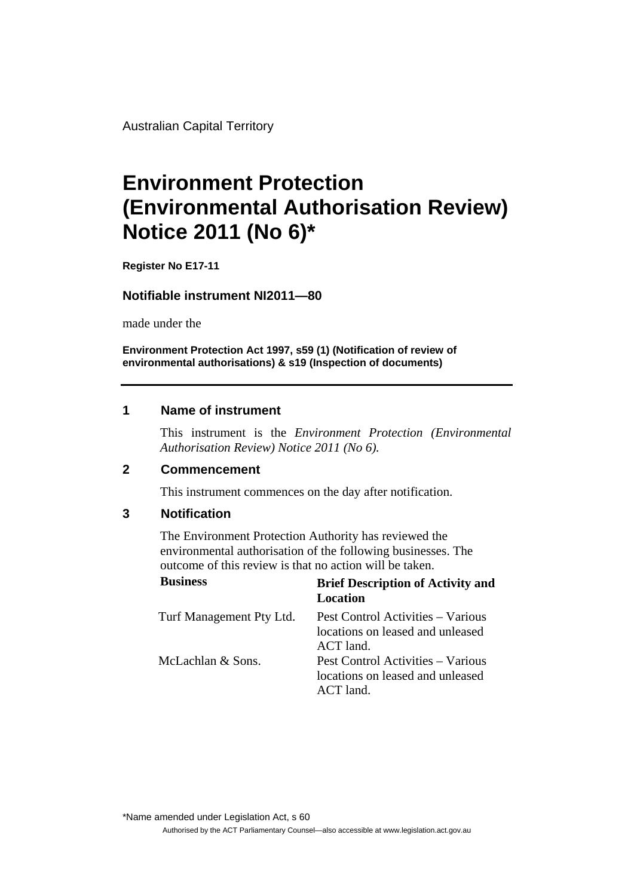Australian Capital Territory

# **Environment Protection (Environmental Authorisation Review) Notice 2011 (No 6)\***

**Register No E17-11**

## **Notifiable instrument NI2011—80**

made under the

**Environment Protection Act 1997, s59 (1) (Notification of review of environmental authorisations) & s19 (Inspection of documents)**

## **1 Name of instrument**

This instrument is the *Environment Protection (Environmental Authorisation Review) Notice 2011 (No 6).* 

#### **2 Commencement**

This instrument commences on the day after notification.

#### **3 Notification**

The Environment Protection Authority has reviewed the environmental authorisation of the following businesses. The outcome of this review is that no action will be taken.

| <b>Business</b>          | <b>Brief Description of Activity and</b><br>Location                                |
|--------------------------|-------------------------------------------------------------------------------------|
| Turf Management Pty Ltd. | Pest Control Activities – Various<br>locations on leased and unleased<br>ACT land.  |
| McLachlan & Sons.        | Pest Control Activities – Various<br>locations on leased and unleased<br>$ACT$ land |